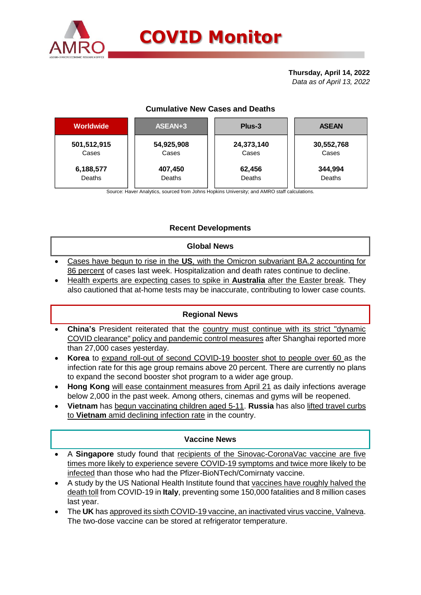

# **COVID Monitor**

#### **Thursday, April 14, 2022** *Data as of April 13, 2022*

# **Cumulative New Cases and Deaths**

| <b>Worldwide</b> | ASEAN+3    | Plus-3     | <b>ASEAN</b> |  |  |
|------------------|------------|------------|--------------|--|--|
| 501,512,915      | 54,925,908 | 24,373,140 | 30,552,768   |  |  |
| Cases            | Cases      | Cases      | Cases        |  |  |
| 6,188,577        | 407,450    | 62,456     | 344,994      |  |  |
| Deaths           | Deaths     | Deaths     | Deaths       |  |  |

Source: Haver Analytics, sourced from Johns Hopkins University; and AMRO staff calculations.

# **Recent Developments**

#### **Global News**

- Cases have begun to rise in the **US**, with the Omicron subvariant BA.2 accounting for 86 percent of cases last week. Hospitalization and death rates continue to decline.
- Health experts are expecting cases to spike in **Australia** after the Easter break. They also cautioned that at-home tests may be inaccurate, contributing to lower case counts.

## **Regional News**

- **China's** President reiterated that the country must continue with its strict "dynamic COVID clearance" policy and pandemic control measures after Shanghai reported more than 27,000 cases yesterday.
- **Korea** to expand roll-out of second COVID-19 booster shot to people over 60 as the infection rate for this age group remains above 20 percent. There are currently no plans to expand the second booster shot program to a wider age group.
- **Hong Kong** will ease containment measures from April 21 as daily infections average below 2,000 in the past week. Among others, cinemas and gyms will be reopened.
- **Vietnam** has begun vaccinating children aged 5-11. **Russia** has also lifted travel curbs to **Vietnam** amid declining infection rate in the country.

## **Vaccine News**

- A **Singapore** study found that recipients of the Sinovac-CoronaVac vaccine are five times more likely to experience severe COVID-19 symptoms and twice more likely to be infected than those who had the Pfizer-BioNTech/Comirnaty vaccine.
- A study by the US National Health Institute found that vaccines have roughly halved the death toll from COVID-19 in **Italy**, preventing some 150,000 fatalities and 8 million cases last year.
- The **UK** has approved its sixth COVID-19 vaccine, an inactivated virus vaccine, Valneva. The two-dose vaccine can be stored at refrigerator temperature.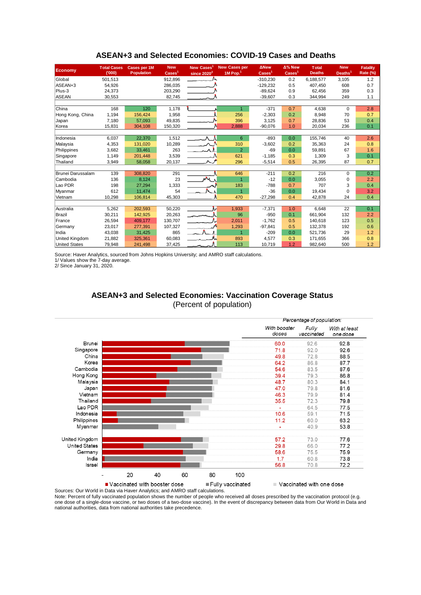| <b>Economy</b>        | <b>Total Cases</b><br>(000) | <b>Cases per 1M</b><br><b>Population</b> | <b>New</b><br>$\text{Case}$ | <b>New Cases</b><br>since $2020^2$ | <b>New Cases per</b><br>$1M$ Pop. <sup>1</sup> | <b>ANew</b><br>$\overline{\text{Cases}}^1$ | Δ% New<br>$\text{Case}$ | <b>Total</b><br><b>Deaths</b> | <b>New</b><br>Deaths <sup>1</sup> | <b>Fatality</b><br>Rate (%) |
|-----------------------|-----------------------------|------------------------------------------|-----------------------------|------------------------------------|------------------------------------------------|--------------------------------------------|-------------------------|-------------------------------|-----------------------------------|-----------------------------|
| Global                | 501,513                     |                                          | 912,896                     |                                    |                                                | $-310,230$                                 | 0.2                     | 6,188,577                     | 3,105                             | 1.2                         |
| ASEAN+3               | 54,926                      |                                          | 286,035                     |                                    |                                                | $-129,232$                                 | 0.5                     | 407.450                       | 608                               | 0.7                         |
| Plus-3                | 24,373                      |                                          | 203,290                     |                                    |                                                | $-89.624$                                  | 0.9                     | 62,456                        | 359                               | 0.3                         |
| <b>ASEAN</b>          | 30,553                      |                                          | 82,745                      |                                    |                                                | $-39,607$                                  | 0.3                     | 344,994                       | 249                               | 1.1                         |
|                       |                             |                                          |                             |                                    |                                                |                                            |                         |                               |                                   |                             |
| China                 | 168                         | 120                                      | 1,178                       |                                    | $\mathbf{1}$                                   | $-371$                                     | 0.7                     | 4,638                         | $\Omega$                          | 2.8                         |
| Hong Kong, China      | 1,194                       | 156,424                                  | 1,958                       |                                    | 256                                            | $-2,303$                                   | 0.2                     | 8,948                         | 70                                | 0.7                         |
| Japan                 | 7,180                       | 57,093                                   | 49,835                      |                                    | 396                                            | 3,125                                      | 0.7                     | 28,836                        | 53                                | 0.4                         |
| Korea                 | 15,831                      | 304.108                                  | 150.320                     |                                    | 2,888                                          | $-90,076$                                  | 1.0                     | 20,034                        | 236                               | 0.1                         |
|                       |                             |                                          |                             |                                    |                                                |                                            |                         |                               |                                   |                             |
| Indonesia             | 6,037                       | 22.370                                   | 1,512                       |                                    | 6                                              | $-893$                                     | 0.0                     | 155,746                       | 40                                | 2.6                         |
| Malaysia              | 4,353                       | 131,020                                  | 10,289                      |                                    | 310                                            | $-3,602$                                   | 0.2                     | 35,363                        | 24                                | 0.8                         |
| Philippines           | 3,682                       | 33.461                                   | 263                         | $\sim$                             | $\overline{2}$                                 | $-69$                                      | 0.0                     | 59,891                        | 67                                | 1.6                         |
| Singapore             | 1.149                       | 201,448                                  | 3,539                       |                                    | 621                                            | $-1,185$                                   | 0.3                     | 1,309                         | 3                                 | 0.1                         |
| Thailand              | 3,949                       | 58,058                                   | 20,137                      |                                    | 296                                            | $-5,514$                                   | 0.5                     | 26,395                        | 87                                | 0.7                         |
|                       |                             |                                          |                             |                                    |                                                |                                            |                         |                               |                                   |                             |
| Brunei Darussalam     | 139                         | 308,820                                  | 291                         |                                    | 646                                            | $-211$                                     | 0.2                     | 216                           | $\Omega$                          | 0.2                         |
| Cambodia              | 136                         | 8,124                                    | 23                          | $\mathcal{M}$                      | $\overline{1}$                                 | $-12$                                      | 0.0                     | 3,055                         | 0                                 | 2.2                         |
| Lao PDR               | 198                         | 27,294                                   | 1,333                       |                                    | 183                                            | $-788$                                     | 0.7                     | 707                           | 3                                 | 0.4                         |
| Myanmar               | 612                         | 11.474                                   | 54                          |                                    | $\overline{1}$                                 | $-36$                                      | 0.0                     | 19,434                        | $\Omega$                          | 3.2                         |
| Vietnam               | 10,298                      | 106,814                                  | 45,303                      |                                    | 470                                            | $-27,298$                                  | 0.4                     | 42,878                        | 24                                | 0.4                         |
|                       |                             |                                          |                             |                                    |                                                |                                            |                         |                               |                                   |                             |
| Australia             | 5,262                       | 202,593                                  | 50,220                      |                                    | 1,933                                          | $-7,371$                                   | 1.0                     | 6,648                         | 22                                | 0.1                         |
| Brazil                | 30,211                      | 142,925                                  | 20,263                      |                                    | 96                                             | $-950$                                     | 0.1                     | 661.904                       | 132                               | 2.2                         |
| France                | 26,594                      | 409.177                                  | 130.707                     |                                    | 2,011                                          | $-1,762$                                   | 0.5                     | 140.618                       | 123                               | 0.5                         |
| Germany               | 23,017                      | 277,391                                  | 107,327                     |                                    | 1,293                                          | $-97,841$                                  | 0.5                     | 132,378                       | 192                               | 0.6                         |
| India                 | 43,038                      | 31,425                                   | 865                         | - 6                                | $\overline{1}$                                 | $-209$                                     | 0.0                     | 521,736                       | 29                                | 1.2                         |
| <b>United Kingdom</b> | 21,882                      | 325,361                                  | 60,083                      |                                    | 893                                            | 4,577                                      | 0.3                     | 171,655                       | 366                               | 0.8                         |
| <b>United States</b>  | 79,948                      | 241,498                                  | 37,425                      |                                    | 113                                            | 10,719                                     | 1.2                     | 982,640                       | 500                               | 1.2                         |

#### **ASEAN+3 and Selected Economies: COVID-19 Cases and Deaths**

Source: Haver Analytics, sourced from Johns Hopkins University; and AMRO staff calculations.

1/ Values show the 7-day average.

2/ Since January 31, 2020.

## **ASEAN+3 and Selected Economies: Vaccination Coverage Status** (Percent of population)



Sources: Our World in Data via Haver Analytics; and AMRO staff calculations. Note: Percent of fully vaccinated population shows the number of people who received all doses prescribed by the vaccination protocol (e.g.

one dose of a single-dose vaccine, or two doses of a two-dose vaccine). In the event of discrepancy between data from Our World in Data and national authorities, data from national authorities take precedence.